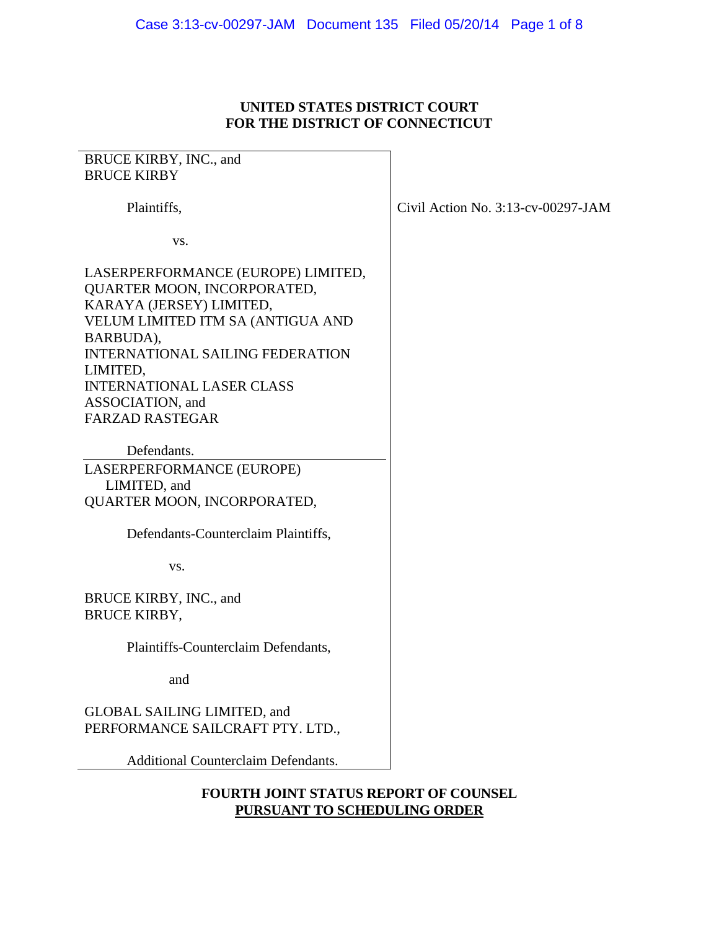## **UNITED STATES DISTRICT COURT FOR THE DISTRICT OF CONNECTICUT**

# BRUCE KIRBY, INC., and BRUCE KIRBY Plaintiffs, vs. LASERPERFORMANCE (EUROPE) LIMITED, QUARTER MOON, INCORPORATED, KARAYA (JERSEY) LIMITED, VELUM LIMITED ITM SA (ANTIGUA AND BARBUDA), INTERNATIONAL SAILING FEDERATION LIMITED, INTERNATIONAL LASER CLASS ASSOCIATION, and FARZAD RASTEGAR Defendants. LASERPERFORMANCE (EUROPE) LIMITED, and QUARTER MOON, INCORPORATED, Defendants-Counterclaim Plaintiffs, vs. BRUCE KIRBY, INC., and BRUCE KIRBY, Plaintiffs-Counterclaim Defendants, and GLOBAL SAILING LIMITED, and PERFORMANCE SAILCRAFT PTY. LTD., Additional Counterclaim Defendants.

#### **FOURTH JOINT STATUS REPORT OF COUNSEL PURSUANT TO SCHEDULING ORDER**

Civil Action No. 3:13-cv-00297-JAM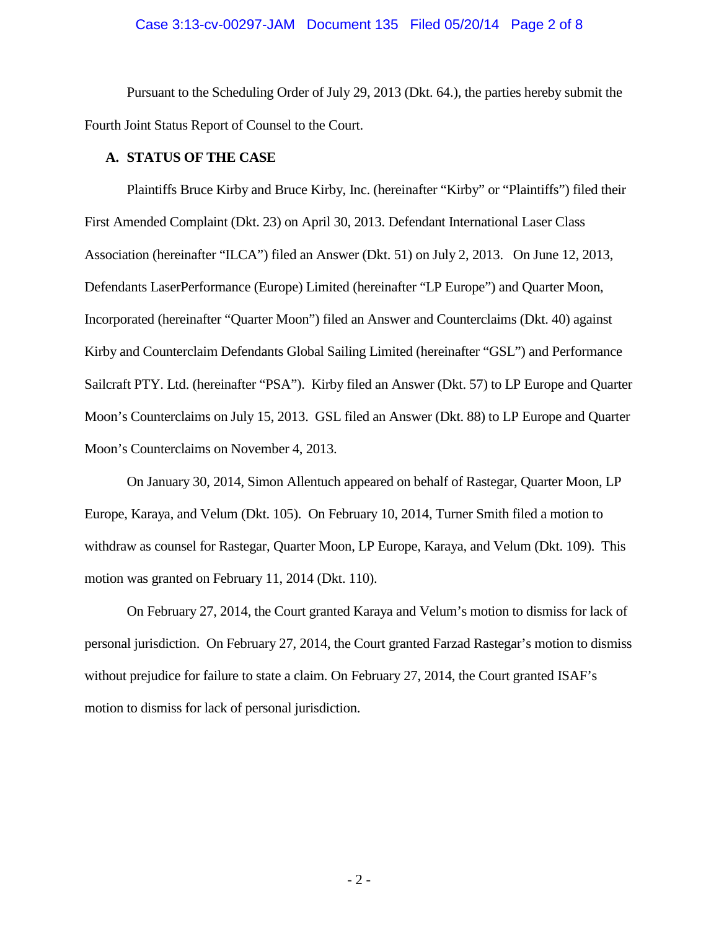#### Case 3:13-cv-00297-JAM Document 135 Filed 05/20/14 Page 2 of 8

Pursuant to the Scheduling Order of July 29, 2013 (Dkt. 64.), the parties hereby submit the Fourth Joint Status Report of Counsel to the Court.

#### **A. STATUS OF THE CASE**

Plaintiffs Bruce Kirby and Bruce Kirby, Inc. (hereinafter "Kirby" or "Plaintiffs") filed their First Amended Complaint (Dkt. 23) on April 30, 2013. Defendant International Laser Class Association (hereinafter "ILCA") filed an Answer (Dkt. 51) on July 2, 2013. On June 12, 2013, Defendants LaserPerformance (Europe) Limited (hereinafter "LP Europe") and Quarter Moon, Incorporated (hereinafter "Quarter Moon") filed an Answer and Counterclaims (Dkt. 40) against Kirby and Counterclaim Defendants Global Sailing Limited (hereinafter "GSL") and Performance Sailcraft PTY. Ltd. (hereinafter "PSA"). Kirby filed an Answer (Dkt. 57) to LP Europe and Quarter Moon's Counterclaims on July 15, 2013. GSL filed an Answer (Dkt. 88) to LP Europe and Quarter Moon's Counterclaims on November 4, 2013.

On January 30, 2014, Simon Allentuch appeared on behalf of Rastegar, Quarter Moon, LP Europe, Karaya, and Velum (Dkt. 105). On February 10, 2014, Turner Smith filed a motion to withdraw as counsel for Rastegar, Quarter Moon, LP Europe, Karaya, and Velum (Dkt. 109). This motion was granted on February 11, 2014 (Dkt. 110).

On February 27, 2014, the Court granted Karaya and Velum's motion to dismiss for lack of personal jurisdiction. On February 27, 2014, the Court granted Farzad Rastegar's motion to dismiss without prejudice for failure to state a claim. On February 27, 2014, the Court granted ISAF's motion to dismiss for lack of personal jurisdiction.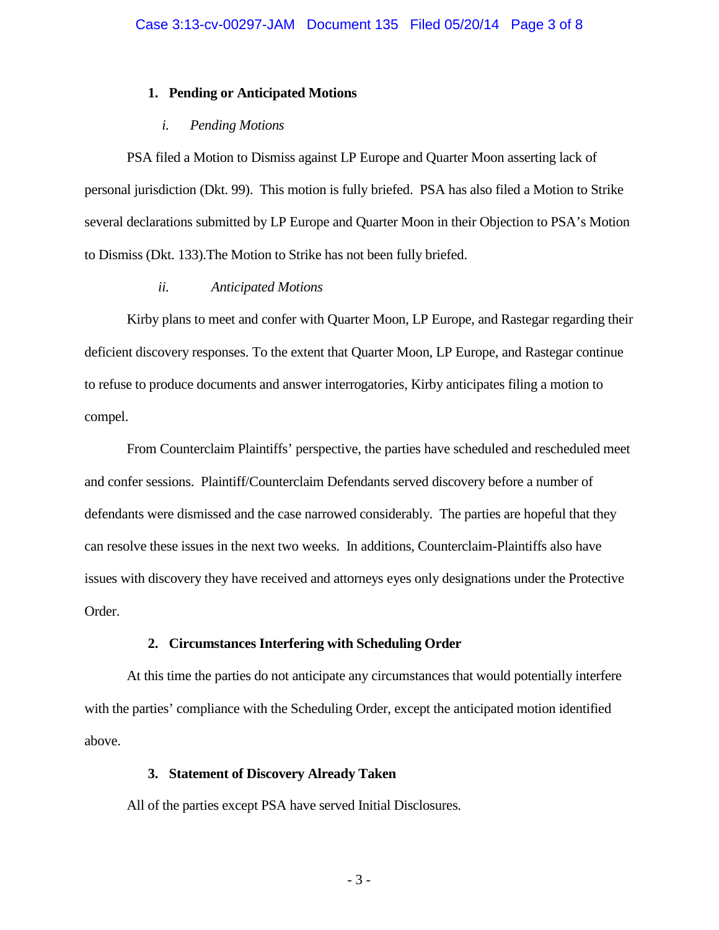#### **1. Pending or Anticipated Motions**

#### *i. Pending Motions*

PSA filed a Motion to Dismiss against LP Europe and Quarter Moon asserting lack of personal jurisdiction (Dkt. 99). This motion is fully briefed. PSA has also filed a Motion to Strike several declarations submitted by LP Europe and Quarter Moon in their Objection to PSA's Motion to Dismiss (Dkt. 133).The Motion to Strike has not been fully briefed.

#### *ii. Anticipated Motions*

Kirby plans to meet and confer with Quarter Moon, LP Europe, and Rastegar regarding their deficient discovery responses. To the extent that Quarter Moon, LP Europe, and Rastegar continue to refuse to produce documents and answer interrogatories, Kirby anticipates filing a motion to compel.

From Counterclaim Plaintiffs' perspective, the parties have scheduled and rescheduled meet and confer sessions. Plaintiff/Counterclaim Defendants served discovery before a number of defendants were dismissed and the case narrowed considerably. The parties are hopeful that they can resolve these issues in the next two weeks. In additions, Counterclaim-Plaintiffs also have issues with discovery they have received and attorneys eyes only designations under the Protective Order.

## **2. Circumstances Interfering with Scheduling Order**

At this time the parties do not anticipate any circumstances that would potentially interfere with the parties' compliance with the Scheduling Order, except the anticipated motion identified above.

## **3. Statement of Discovery Already Taken**

All of the parties except PSA have served Initial Disclosures.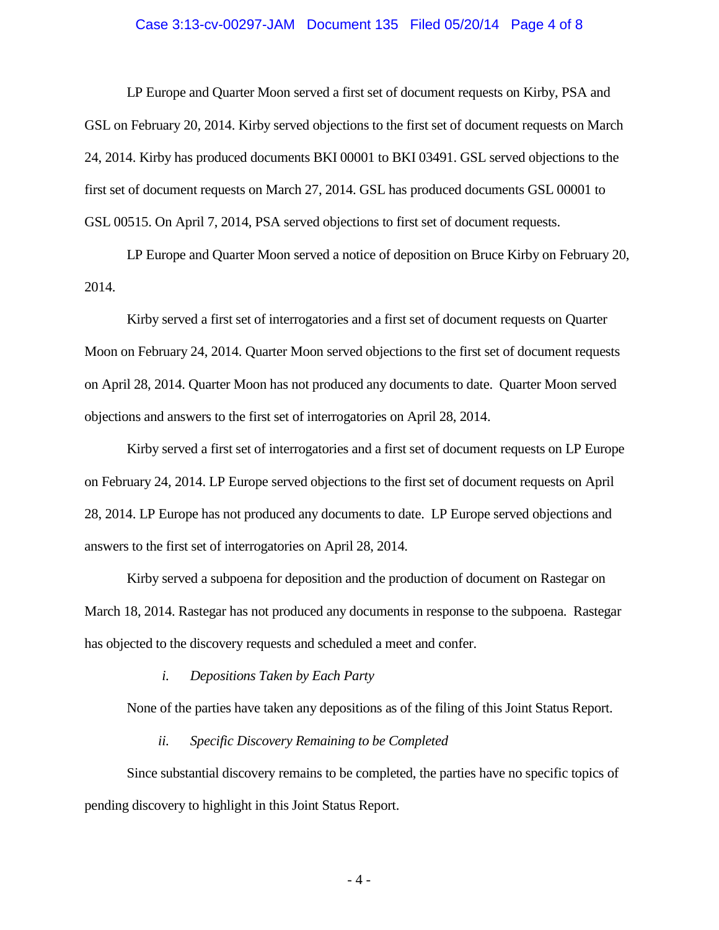#### Case 3:13-cv-00297-JAM Document 135 Filed 05/20/14 Page 4 of 8

LP Europe and Quarter Moon served a first set of document requests on Kirby, PSA and GSL on February 20, 2014. Kirby served objections to the first set of document requests on March 24, 2014. Kirby has produced documents BKI 00001 to BKI 03491. GSL served objections to the first set of document requests on March 27, 2014. GSL has produced documents GSL 00001 to GSL 00515. On April 7, 2014, PSA served objections to first set of document requests.

LP Europe and Quarter Moon served a notice of deposition on Bruce Kirby on February 20, 2014.

Kirby served a first set of interrogatories and a first set of document requests on Quarter Moon on February 24, 2014. Quarter Moon served objections to the first set of document requests on April 28, 2014. Quarter Moon has not produced any documents to date. Quarter Moon served objections and answers to the first set of interrogatories on April 28, 2014.

Kirby served a first set of interrogatories and a first set of document requests on LP Europe on February 24, 2014. LP Europe served objections to the first set of document requests on April 28, 2014. LP Europe has not produced any documents to date. LP Europe served objections and answers to the first set of interrogatories on April 28, 2014.

Kirby served a subpoena for deposition and the production of document on Rastegar on March 18, 2014. Rastegar has not produced any documents in response to the subpoena. Rastegar has objected to the discovery requests and scheduled a meet and confer.

*i. Depositions Taken by Each Party*

None of the parties have taken any depositions as of the filing of this Joint Status Report.

*ii. Specific Discovery Remaining to be Completed*

Since substantial discovery remains to be completed, the parties have no specific topics of pending discovery to highlight in this Joint Status Report.

- 4 -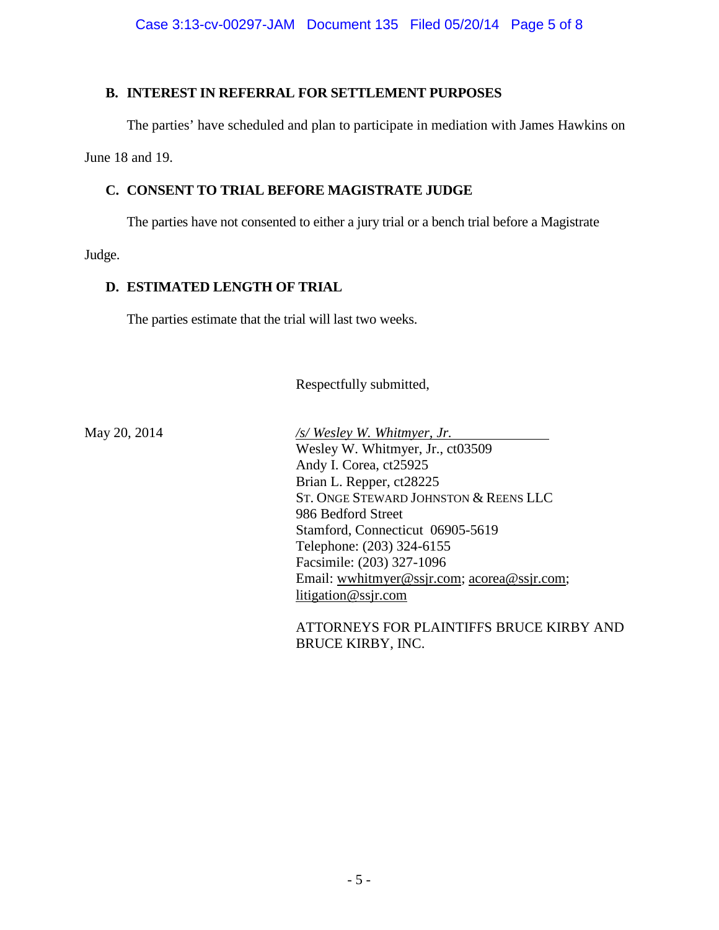## **B. INTEREST IN REFERRAL FOR SETTLEMENT PURPOSES**

The parties' have scheduled and plan to participate in mediation with James Hawkins on

June 18 and 19.

# **C. CONSENT TO TRIAL BEFORE MAGISTRATE JUDGE**

The parties have not consented to either a jury trial or a bench trial before a Magistrate

Judge.

# **D. ESTIMATED LENGTH OF TRIAL**

The parties estimate that the trial will last two weeks.

Respectfully submitted,

May 20, 2014 */s/ Wesley W. Whitmyer, Jr.* Wesley W. Whitmyer, Jr., ct03509 Andy I. Corea, ct25925 Brian L. Repper, ct28225 ST. ONGE STEWARD JOHNSTON & REENS LLC 986 Bedford Street Stamford, Connecticut 06905-5619 Telephone: (203) 324-6155 Facsimile: (203) 327-1096 Email: [wwhitmyer@ssjr.com;](mailto:wwhitmyer@ssjr.com) [acorea@ssjr.com;](mailto:acorea@ssjr.com) [litigation@ssjr.com](mailto:litigation@ssjr.com)

> ATTORNEYS FOR PLAINTIFFS BRUCE KIRBY AND BRUCE KIRBY, INC.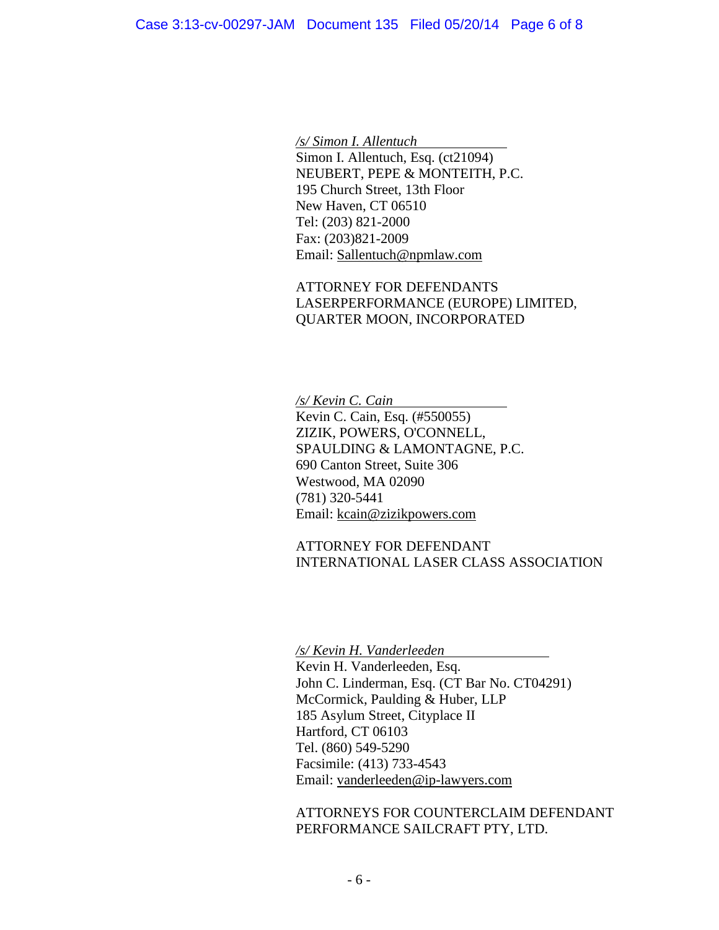*/s/ Simon I. Allentuch* Simon I. Allentuch, Esq. (ct21094) NEUBERT, PEPE & MONTEITH, P.C. 195 Church Street, 13th Floor New Haven, CT 06510 Tel: (203) 821-2000 Fax: (203)821-2009 Email: [Sallentuch@npmlaw.com](mailto:Sallentuch@npmlaw.com)

ATTORNEY FOR DEFENDANTS LASERPERFORMANCE (EUROPE) LIMITED, QUARTER MOON, INCORPORATED

*/s/ Kevin C. Cain* Kevin C. Cain, Esq. (#550055) ZIZIK, POWERS, O'CONNELL, SPAULDING & LAMONTAGNE, P.C. 690 Canton Street, Suite 306 Westwood, MA 02090 (781) 320-5441 Email: [kcain@zizikpowers.com](mailto:kcain@zizikpowers.com)

ATTORNEY FOR DEFENDANT INTERNATIONAL LASER CLASS ASSOCIATION

*/s/ Kevin H. Vanderleeden*

Kevin H. Vanderleeden, Esq. John C. Linderman, Esq. (CT Bar No. CT04291) McCormick, Paulding & Huber, LLP 185 Asylum Street, Cityplace II Hartford, CT 06103 Tel. (860) 549-5290 Facsimile: (413) 733-4543 Email: [vanderleeden@ip-lawyers.com](mailto:vanderleeden@ip-lawyers.com)

ATTORNEYS FOR COUNTERCLAIM DEFENDANT PERFORMANCE SAILCRAFT PTY, LTD.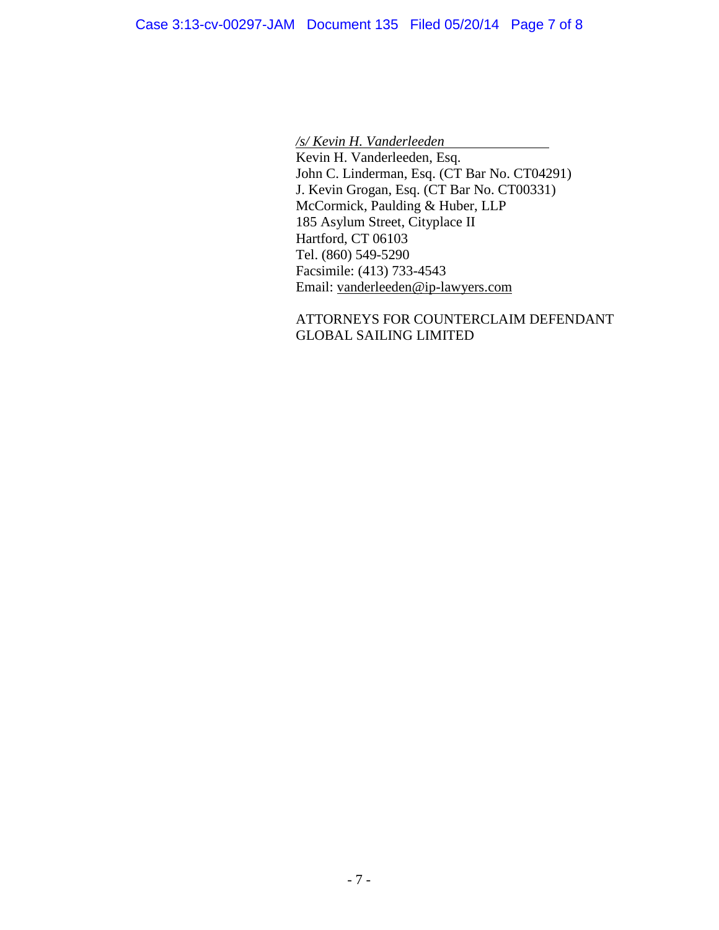*/s/ Kevin H. Vanderleeden* Kevin H. Vanderleeden, Esq. John C. Linderman, Esq. (CT Bar No. CT04291) J. Kevin Grogan, Esq. (CT Bar No. CT00331) McCormick, Paulding & Huber, LLP 185 Asylum Street, Cityplace II Hartford, CT 06103 Tel. (860) 549-5290 Facsimile: (413) 733-4543 Email: [vanderleeden@ip-lawyers.com](mailto:vanderleeden@ip-lawyers.com)

# ATTORNEYS FOR COUNTERCLAIM DEFENDANT GLOBAL SAILING LIMITED